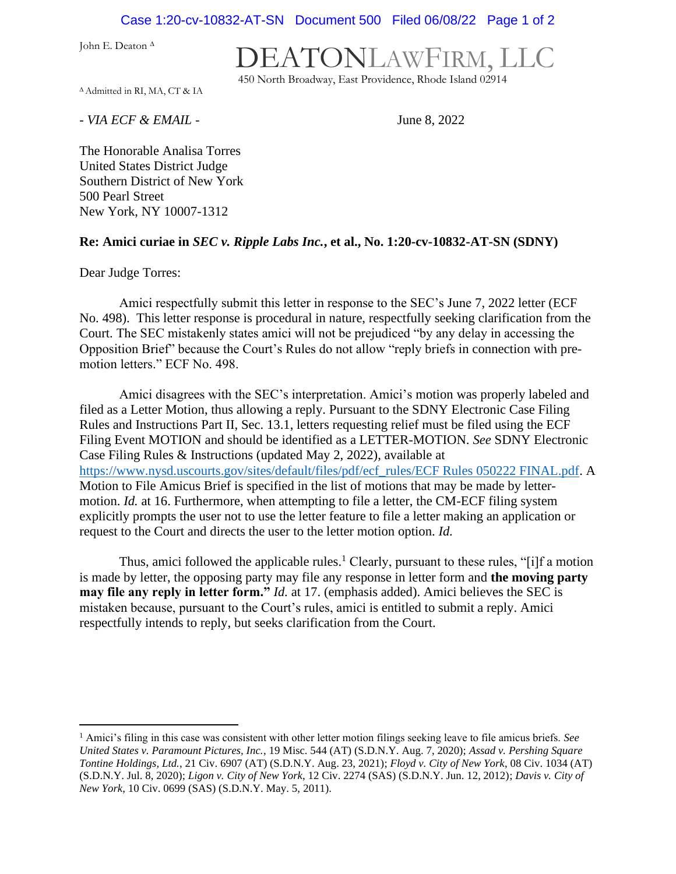Case 1:20-cv-10832-AT-SN Document 500 Filed 06/08/22 Page 1 of 2

John E. Deaton <sup>∆</sup>

## DEATONLAWFIRM, LLC

450 North Broadway, East Providence, Rhode Island 02914

<sup>∆</sup> Admitted in RI, MA, CT & IA

*- VIA ECF & EMAIL -* June 8, 2022

The Honorable Analisa Torres United States District Judge Southern District of New York 500 Pearl Street New York, NY 10007-1312

## **Re: Amici curiae in** *SEC v. Ripple Labs Inc.***, et al., No. 1:20-cv-10832-AT-SN (SDNY)**

Dear Judge Torres:

Amici respectfully submit this letter in response to the SEC's June 7, 2022 letter (ECF No. 498). This letter response is procedural in nature, respectfully seeking clarification from the Court. The SEC mistakenly states amici will not be prejudiced "by any delay in accessing the Opposition Brief" because the Court's Rules do not allow "reply briefs in connection with premotion letters." ECF No. 498.

Amici disagrees with the SEC's interpretation. Amici's motion was properly labeled and filed as a Letter Motion, thus allowing a reply. Pursuant to the SDNY Electronic Case Filing Rules and Instructions Part II, Sec. 13.1, letters requesting relief must be filed using the ECF Filing Event MOTION and should be identified as a LETTER-MOTION. *See* SDNY Electronic Case Filing Rules & Instructions (updated May 2, 2022), available at [https://www.nysd.uscourts.gov/sites/default/files/pdf/ecf\\_rules/ECF Rules 050222 FINAL.pdf.](https://www.nysd.uscourts.gov/sites/default/files/pdf/ecf_rules/ECF%20Rules%20050222%20FINAL.pdf) A Motion to File Amicus Brief is specified in the list of motions that may be made by lettermotion. *Id.* at 16. Furthermore, when attempting to file a letter, the CM-ECF filing system explicitly prompts the user not to use the letter feature to file a letter making an application or request to the Court and directs the user to the letter motion option. *Id.*

Thus, amici followed the applicable rules.<sup>1</sup> Clearly, pursuant to these rules, "[i]f a motion is made by letter, the opposing party may file any response in letter form and **the moving party may file any reply in letter form."** *Id.* at 17. (emphasis added). Amici believes the SEC is mistaken because, pursuant to the Court's rules, amici is entitled to submit a reply. Amici respectfully intends to reply, but seeks clarification from the Court.

<sup>1</sup> Amici's filing in this case was consistent with other letter motion filings seeking leave to file amicus briefs. *See United States v. Paramount Pictures, Inc.*, 19 Misc. 544 (AT) (S.D.N.Y. Aug. 7, 2020); *Assad v. Pershing Square Tontine Holdings, Ltd.*, 21 Civ. 6907 (AT) (S.D.N.Y. Aug. 23, 2021); *Floyd v. City of New York*, 08 Civ. 1034 (AT) (S.D.N.Y. Jul. 8, 2020); *Ligon v. City of New York*, 12 Civ. 2274 (SAS) (S.D.N.Y. Jun. 12, 2012); *Davis v. City of New York*, 10 Civ. 0699 (SAS) (S.D.N.Y. May. 5, 2011).